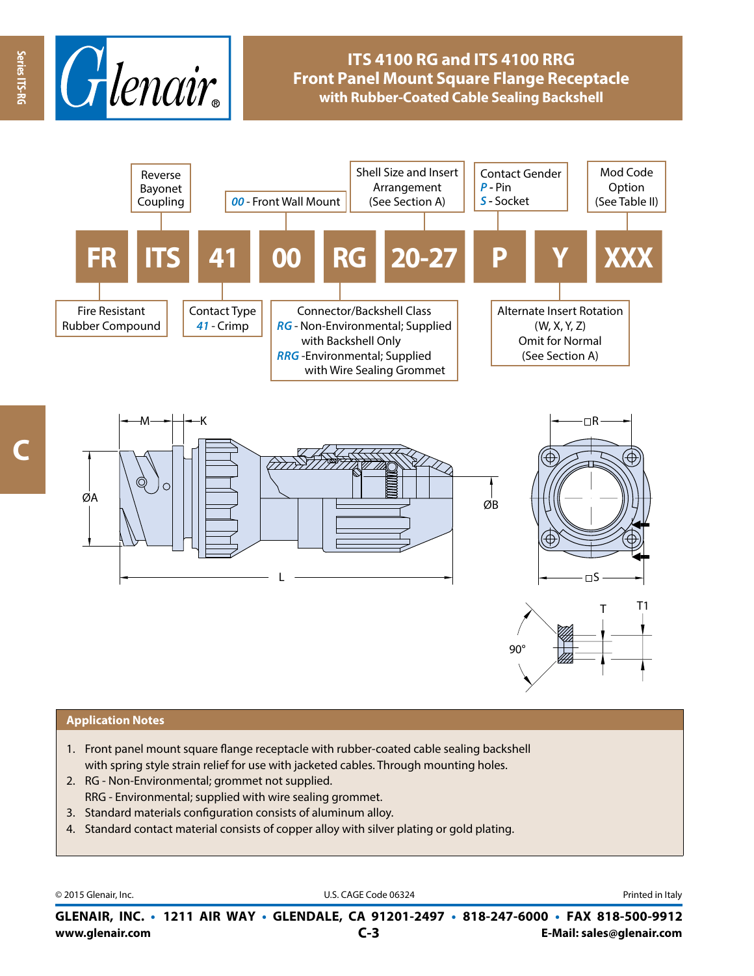

# **ITS 4100 RG and ITS 4100 RRG Front Panel Mount Square Flange Receptacle with Rubber-Coated Cable Sealing Backshell**



**Series ITS-RG**

Series ITS-RG



#### **Application Notes**

- 1. Front panel mount square flange receptacle with rubber-coated cable sealing backshell with spring style strain relief for use with jacketed cables. Through mounting holes.
- 2. RG Non-Environmental; grommet not supplied. RRG - Environmental; supplied with wire sealing grommet.
- 3. Standard materials configuration consists of aluminum alloy.
- 4. Standard contact material consists of copper alloy with silver plating or gold plating.

© 2015 Glenair, Inc. **Discription Construction Construction Construction Construction Construction Construction Construction Construction Construction Construction Construction Construction Construction Construction Constr** 

**www.glenair.com E-Mail: sales@glenair.com GLENAIR, INC. • 1211 AIR WAY • GLENDALE, CA 91201-2497 • 818-247-6000 • FAX 818-500-9912 C-3**